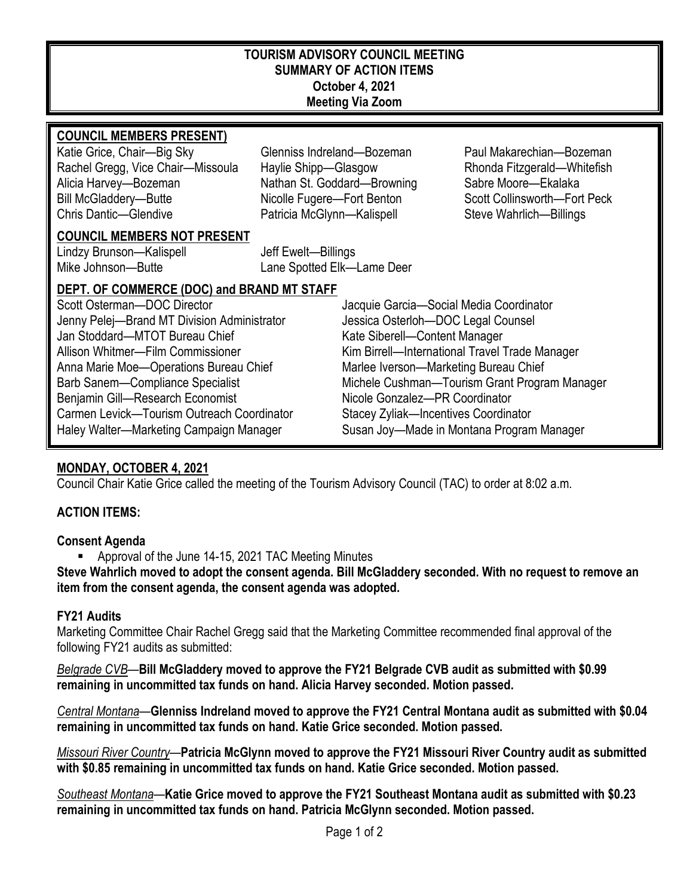#### **TOURISM ADVISORY COUNCIL MEETING SUMMARY OF ACTION ITEMS October 4, 2021 Meeting Via Zoom**

#### **COUNCIL MEMBERS PRESENT)**

Rachel Gregg, Vice Chair—Missoula Haylie Shipp—Glasgow Rhonda Fitzgerald—Whitefish Alicia Harvey—Bozeman Nathan St. Goddard—Browning Sabre Moore—Ekalaka Bill McGladdery—Butte **Nicolle Fugere—Fort Benton** Scott Collinsworth—Fort Peck Chris Dantic—Glendive Patricia McGlynn—Kalispell Steve Wahrlich—Billings

Katie Grice, Chair—Big Sky Glenniss Indreland—Bozeman Paul Makarechian—Bozeman

#### **COUNCIL MEMBERS NOT PRESENT**

Lindzy Brunson—Kalispell Jeff Ewelt—Billings Mike Johnson—Butte Lane Spotted Elk—Lame Deer

## **DEPT. OF COMMERCE (DOC) and BRAND MT STAFF**

Scott Osterman—DOC Director and Director Jacquie Garcia—Social Media Coordinator Jenny Pelej—Brand MT Division Administrator Jessica Osterloh—DOC Legal Counsel Jan Stoddard—MTOT Bureau Chief Kate Siberell—Content Manager Allison Whitmer—Film Commissioner Kim Birrell—International Travel Trade Manager Anna Marie Moe-Operations Bureau Chief Marlee Iverson-Marketing Bureau Chief Benjamin Gill—Research Economist Nicole Gonzalez—PR Coordinator Carmen Levick—Tourism Outreach Coordinator Stacey Zyliak—Incentives Coordinator

Barb Sanem—Compliance Specialist Michele Cushman—Tourism Grant Program Manager Haley Walter—Marketing Campaign Manager Susan Joy—Made in Montana Program Manager

# **MONDAY, OCTOBER 4, 2021**

Council Chair Katie Grice called the meeting of the Tourism Advisory Council (TAC) to order at 8:02 a.m.

## **ACTION ITEMS:**

#### **Consent Agenda**

Approval of the June 14-15, 2021 TAC Meeting Minutes

**Steve Wahrlich moved to adopt the consent agenda. Bill McGladdery seconded. With no request to remove an item from the consent agenda, the consent agenda was adopted.**

#### **FY21 Audits**

Marketing Committee Chair Rachel Gregg said that the Marketing Committee recommended final approval of the following FY21 audits as submitted:

*Belgrade CVB*—**Bill McGladdery moved to approve the FY21 Belgrade CVB audit as submitted with \$0.99 remaining in uncommitted tax funds on hand. Alicia Harvey seconded. Motion passed.** 

*Central Montana*—**Glenniss Indreland moved to approve the FY21 Central Montana audit as submitted with \$0.04 remaining in uncommitted tax funds on hand. Katie Grice seconded. Motion passed.** 

*Missouri River Country*—**Patricia McGlynn moved to approve the FY21 Missouri River Country audit as submitted with \$0.85 remaining in uncommitted tax funds on hand. Katie Grice seconded. Motion passed.** 

*Southeast Montana*—**Katie Grice moved to approve the FY21 Southeast Montana audit as submitted with \$0.23 remaining in uncommitted tax funds on hand. Patricia McGlynn seconded. Motion passed.**